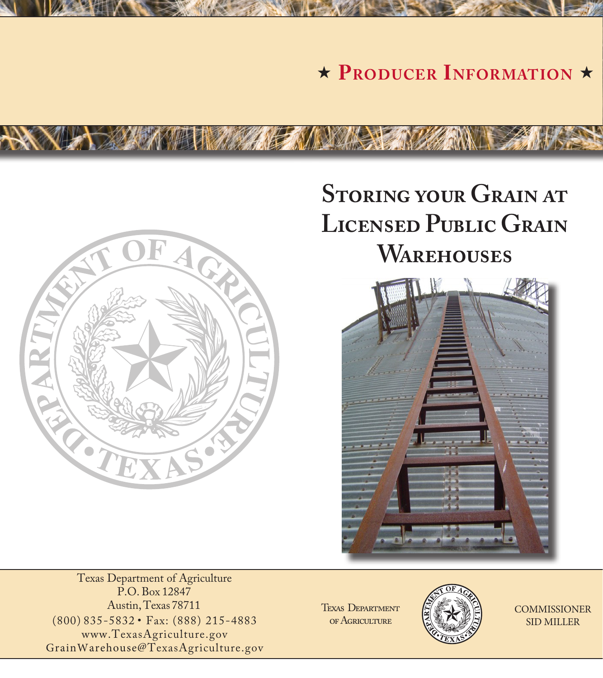**\* PRODUCER INFORMATION** \*



**CONTRACTOR** 

# **Storing your Grain at Licensed Public Grain Warehouses**



Texas Department of Agriculture P.O. Box 12847 Austin, Texas 78711 (800) 835-5832 • Fax: (888) 215-4883 www.TexasAgriculture.gov GrainWarehouse@TexasAgriculture.gov

Texas Department of Agriculture



**COMMISSIONER** SID MILLER